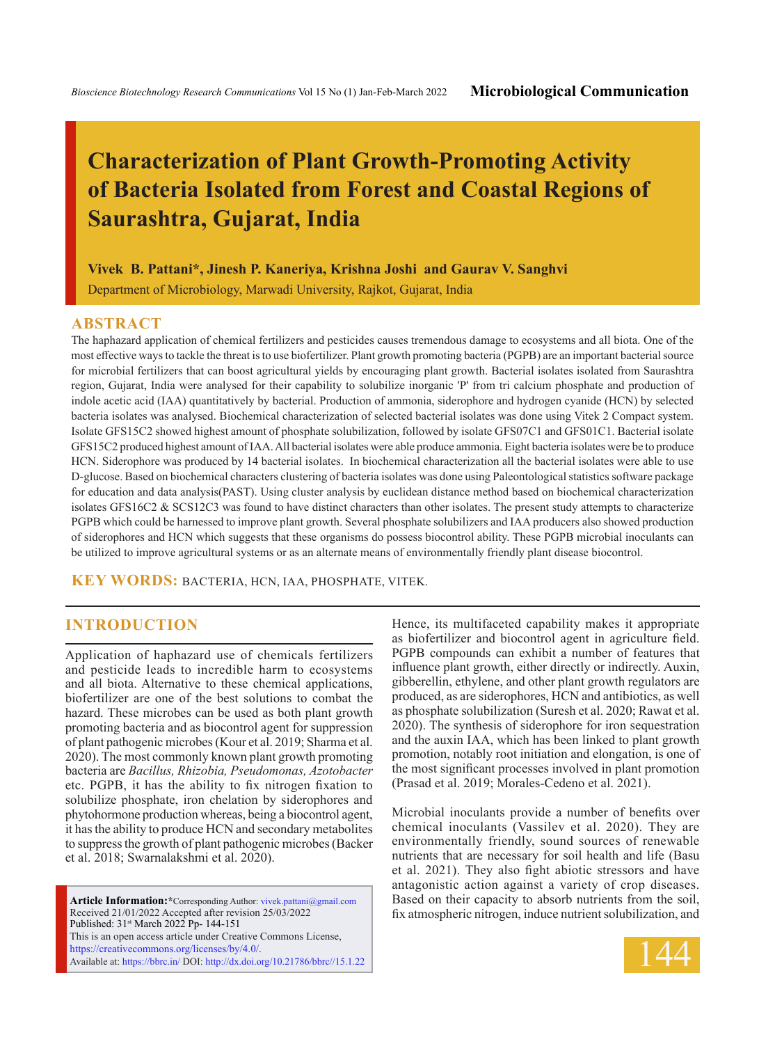# **Characterization of Plant Growth-Promoting Activity of Bacteria Isolated from Forest and Coastal Regions of Saurashtra, Gujarat, India**

**Vivek B. Pattani\*, Jinesh P. Kaneriya, Krishna Joshi and Gaurav V. Sanghvi**

Department of Microbiology, Marwadi University, Rajkot, Gujarat, India

#### **ABSTRACT**

The haphazard application of chemical fertilizers and pesticides causes tremendous damage to ecosystems and all biota. One of the most effective ways to tackle the threat is to use biofertilizer. Plant growth promoting bacteria (PGPB) are an important bacterial source for microbial fertilizers that can boost agricultural yields by encouraging plant growth. Bacterial isolates isolated from Saurashtra region, Gujarat, India were analysed for their capability to solubilize inorganic 'P' from tri calcium phosphate and production of indole acetic acid (IAA) quantitatively by bacterial. Production of ammonia, siderophore and hydrogen cyanide (HCN) by selected bacteria isolates was analysed. Biochemical characterization of selected bacterial isolates was done using Vitek 2 Compact system. Isolate GFS15C2 showed highest amount of phosphate solubilization, followed by isolate GFS07C1 and GFS01C1. Bacterial isolate GFS15C2 produced highest amount of IAA. All bacterial isolates were able produce ammonia. Eight bacteria isolates were be to produce HCN. Siderophore was produced by 14 bacterial isolates. In biochemical characterization all the bacterial isolates were able to use D-glucose. Based on biochemical characters clustering of bacteria isolates was done using Paleontological statistics software package for education and data analysis(PAST). Using cluster analysis by euclidean distance method based on biochemical characterization isolates GFS16C2 & SCS12C3 was found to have distinct characters than other isolates. The present study attempts to characterize PGPB which could be harnessed to improve plant growth. Several phosphate solubilizers and IAA producers also showed production of siderophores and HCN which suggests that these organisms do possess biocontrol ability. These PGPB microbial inoculants can be utilized to improve agricultural systems or as an alternate means of environmentally friendly plant disease biocontrol.

**KEY WORDS:** Bacteria, HCN, IAA, Phosphate, Vitek.

### **INTRODUCTION**

Application of haphazard use of chemicals fertilizers and pesticide leads to incredible harm to ecosystems and all biota. Alternative to these chemical applications, biofertilizer are one of the best solutions to combat the hazard. These microbes can be used as both plant growth promoting bacteria and as biocontrol agent for suppression of plant pathogenic microbes (Kour et al. 2019; Sharma et al. 2020). The most commonly known plant growth promoting bacteria are *Bacillus, Rhizobia, Pseudomonas, Azotobacter* etc. PGPB, it has the ability to fix nitrogen fixation to solubilize phosphate, iron chelation by siderophores and phytohormone production whereas, being a biocontrol agent, it has the ability to produce HCN and secondary metabolites to suppress the growth of plant pathogenic microbes (Backer et al. 2018; Swarnalakshmi et al. 2020).

**Article Information:\***Corresponding Author: vivek.pattani@gmail.com Received 21/01/2022 Accepted after revision 25/03/2022 Published: 31st March 2022 Pp- 144-151 This is an open access article under Creative Commons License, https://creativecommons.org/licenses/by/4.0/. Available at: https://bbrc.in/ DOI: http://dx.doi.org/10.21786/bbrc//15.1.22 Hence, its multifaceted capability makes it appropriate as biofertilizer and biocontrol agent in agriculture field. PGPB compounds can exhibit a number of features that influence plant growth, either directly or indirectly. Auxin, gibberellin, ethylene, and other plant growth regulators are produced, as are siderophores, HCN and antibiotics, as well as phosphate solubilization (Suresh et al. 2020; Rawat et al. 2020). The synthesis of siderophore for iron sequestration and the auxin IAA, which has been linked to plant growth promotion, notably root initiation and elongation, is one of the most significant processes involved in plant promotion (Prasad et al. 2019; Morales-Cedeno et al. 2021).

Microbial inoculants provide a number of benefits over chemical inoculants (Vassilev et al. 2020). They are environmentally friendly, sound sources of renewable nutrients that are necessary for soil health and life (Basu et al. 2021). They also fight abiotic stressors and have antagonistic action against a variety of crop diseases. Based on their capacity to absorb nutrients from the soil, fix atmospheric nitrogen, induce nutrient solubilization, and

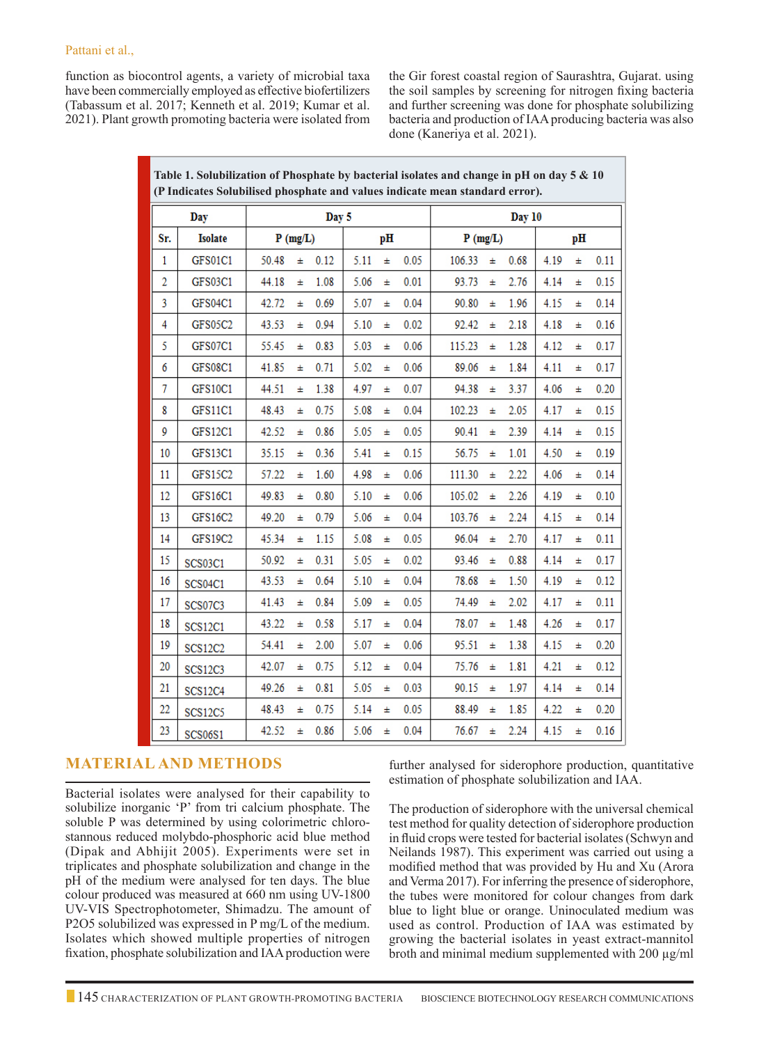function as biocontrol agents, a variety of microbial taxa have been commercially employed as effective biofertilizers (Tabassum et al. 2017; Kenneth et al. 2019; Kumar et al. 2021). Plant growth promoting bacteria were isolated from the Gir forest coastal region of Saurashtra, Gujarat. using the soil samples by screening for nitrogen fixing bacteria and further screening was done for phosphate solubilizing bacteria and production of IAA producing bacteria was also done (Kaneriya et al. 2021).

| (P Indicates Solubilised phosphate and values indicate mean standard error). |                |            |   |      |      |   |      |            |       |      |      |   |      |  |  |  |
|------------------------------------------------------------------------------|----------------|------------|---|------|------|---|------|------------|-------|------|------|---|------|--|--|--|
| Day 5<br>Day                                                                 |                |            |   |      |      |   |      | Day 10     |       |      |      |   |      |  |  |  |
| Sr.                                                                          | <b>Isolate</b> | $P$ (mg/L) |   |      | pН   |   |      | $P$ (mg/L) |       | pН   |      |   |      |  |  |  |
| $\mathbf{1}$                                                                 | GFS01C1        | 50.48      | Ŧ | 0.12 | 5.11 | Ŧ | 0.05 | 106.33     | Ŧ     | 0.68 | 4.19 | Ŧ | 0.11 |  |  |  |
| $\overline{2}$                                                               | GFS03C1        | 44.18      | Ŧ | 1.08 | 5.06 | Ŧ | 0.01 | 93.73      | Ŧ     | 2.76 | 4.14 | Ŧ | 0.15 |  |  |  |
| 3                                                                            | <b>GFS04C1</b> | 42.72      | 士 | 0.69 | 5.07 | Ŧ | 0.04 | 90.80      | 士     | 1.96 | 4.15 | Ŧ | 0.14 |  |  |  |
| 4                                                                            | GFS05C2        | 43.53      | Ŧ | 0.94 | 5.10 | Ŧ | 0.02 | 92.42      | $\pm$ | 2.18 | 4.18 | Ŧ | 0.16 |  |  |  |
| 5                                                                            | <b>GFS07C1</b> | 55.45      | Ŧ | 0.83 | 5.03 | Ŧ | 0.06 | 115.23     | Ŧ     | 1.28 | 4.12 | Ŧ | 0.17 |  |  |  |
| 6                                                                            | <b>GFS08C1</b> | 41.85      | Ŧ | 0.71 | 5.02 | Ŧ | 0.06 | 89.06      | Ŧ     | 1.84 | 4.11 | Ŧ | 0.17 |  |  |  |
| 7                                                                            | <b>GFS10C1</b> | 44.51      | Ŧ | 1.38 | 4.97 | Ŧ | 0.07 | 94.38      | Ŧ     | 3.37 | 4.06 | Ŧ | 0.20 |  |  |  |
| 8                                                                            | GFS11C1        | 48.43      | Ŧ | 0.75 | 5.08 | Ŧ | 0.04 | 102.23     | Ŧ     | 2.05 | 4.17 | Ŧ | 0.15 |  |  |  |
| 9                                                                            | <b>GFS12C1</b> | 42.52      | Ŧ | 0.86 | 5.05 | Ŧ | 0.05 | 90.41      | Ŧ     | 2.39 | 4.14 | Ŧ | 0.15 |  |  |  |
| 10                                                                           | GFS13C1        | 35.15      | Ŧ | 0.36 | 5.41 | Ŧ | 0.15 | 56.75      | Ŧ     | 1.01 | 4.50 | Ŧ | 0.19 |  |  |  |
| 11                                                                           | GFS15C2        | 57.22      | Ŧ | 1.60 | 4.98 | Ŧ | 0.06 | 111.30     | 士     | 2.22 | 4.06 | Ŧ | 0.14 |  |  |  |
| 12                                                                           | GFS16C1        | 49.83      | Ŧ | 0.80 | 5.10 | Ŧ | 0.06 | 105.02     | Ŧ     | 2.26 | 4.19 | Ŧ | 0.10 |  |  |  |
| 13                                                                           | GFS16C2        | 49.20      | Ŧ | 0.79 | 5.06 | Ŧ | 0.04 | 103.76     | $\pm$ | 2.24 | 4.15 | Ŧ | 0.14 |  |  |  |
| 14                                                                           | <b>GFS19C2</b> | 45.34      | Ŧ | 1.15 | 5.08 | Ŧ | 0.05 | 96.04      | Ŧ     | 2.70 | 4.17 | Ŧ | 0.11 |  |  |  |
| 15                                                                           | SCS03C1        | 50.92      | Ŧ | 0.31 | 5.05 | Ŧ | 0.02 | 93.46      | Ŧ     | 0.88 | 4.14 | Ŧ | 0.17 |  |  |  |
| 16                                                                           | SCS04C1        | 43.53      | Ŧ | 0.64 | 5.10 | Ŧ | 0.04 | 78.68      | $\pm$ | 1.50 | 4.19 | Ŧ | 0.12 |  |  |  |
| 17                                                                           | <b>SCS07C3</b> | 41.43      | Ŧ | 0.84 | 5.09 | Ŧ | 0.05 | 74.49      | 士     | 2.02 | 4.17 | Ŧ | 0.11 |  |  |  |
| 18                                                                           | SCS12C1        | 43.22      | Ŧ | 0.58 | 5.17 | Ŧ | 0.04 | 78.07      | Ŧ     | 1.48 | 4.26 | Ŧ | 0.17 |  |  |  |
| 19                                                                           | <b>SCS12C2</b> | 54.41      | Ŧ | 2.00 | 5.07 | Ŧ | 0.06 | 95.51      | Ŧ     | 1.38 | 4.15 | Ŧ | 0.20 |  |  |  |
| 20                                                                           | SCS12C3        | 42.07      | Ŧ | 0.75 | 5.12 | Ŧ | 0.04 | 75.76      | Ŧ     | 1.81 | 4.21 | Ŧ | 0.12 |  |  |  |
| 21                                                                           | SCS12C4        | 49.26      | Ŧ | 0.81 | 5.05 | Ŧ | 0.03 | 90.15      | Ŧ     | 1.97 | 4.14 | Ŧ | 0.14 |  |  |  |
| 22                                                                           | <b>SCS12C5</b> | 48.43      | Ŧ | 0.75 | 5.14 | Ŧ | 0.05 | 88.49      | Ŧ     | 1.85 | 4.22 | Ŧ | 0.20 |  |  |  |
| 23                                                                           | <b>SCS06S1</b> | 42.52      | Ŧ | 0.86 | 5.06 | Ŧ | 0.04 | 76.67      | Ŧ     | 2.24 | 4.15 | Ŧ | 0.16 |  |  |  |

**Table 1. Solubilization of Phosphate by bacterial isolates and change in pH on day 5 & 10** 

# **Material and Methods**

Bacterial isolates were analysed for their capability to solubilize inorganic 'P' from tri calcium phosphate. The soluble P was determined by using colorimetric chlorostannous reduced molybdo-phosphoric acid blue method (Dipak and Abhijit 2005). Experiments were set in triplicates and phosphate solubilization and change in the pH of the medium were analysed for ten days. The blue colour produced was measured at 660 nm using UV-1800 UV-VIS Spectrophotometer, Shimadzu. The amount of P2O5 solubilized was expressed in P mg/L of the medium. Isolates which showed multiple properties of nitrogen fixation, phosphate solubilization and IAA production were further analysed for siderophore production, quantitative estimation of phosphate solubilization and IAA.

The production of siderophore with the universal chemical test method for quality detection of siderophore production in fluid crops were tested for bacterial isolates (Schwyn and Neilands 1987). This experiment was carried out using a modified method that was provided by Hu and Xu (Arora and Verma 2017). For inferring the presence of siderophore, the tubes were monitored for colour changes from dark blue to light blue or orange. Uninoculated medium was used as control. Production of IAA was estimated by growing the bacterial isolates in yeast extract-mannitol broth and minimal medium supplemented with 200 µg/ml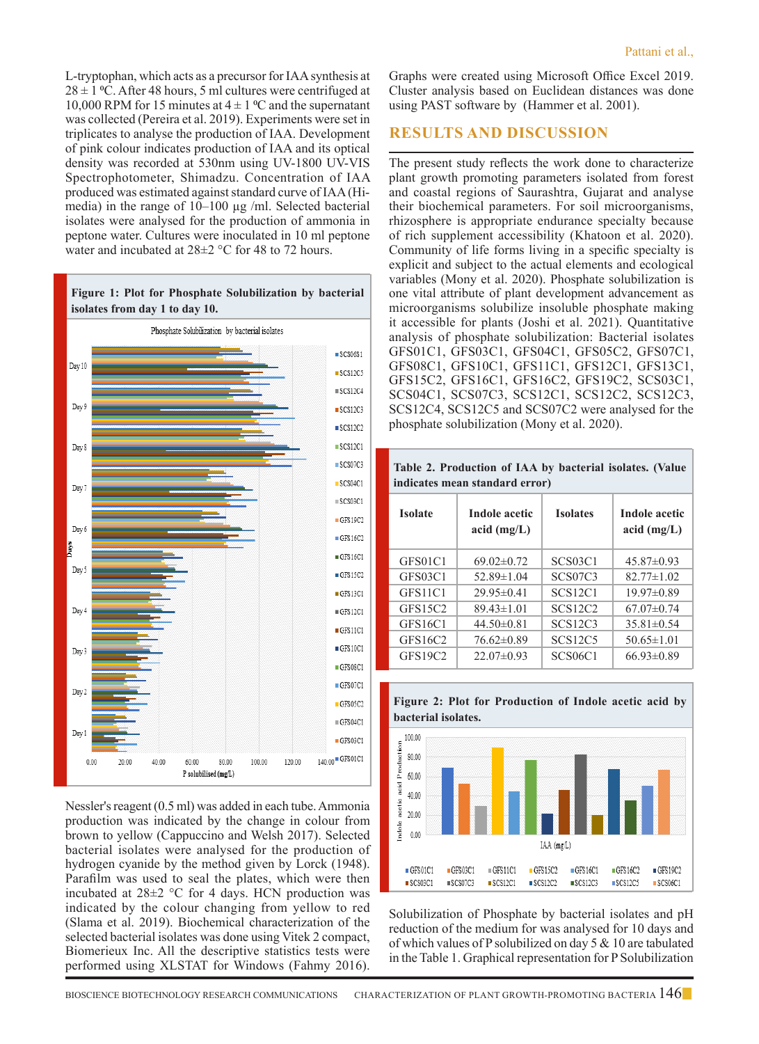L-tryptophan, which acts as a precursor for IAA synthesis at  $28 \pm 1$  °C. After 48 hours, 5 ml cultures were centrifuged at 10,000 RPM for 15 minutes at  $4 \pm 1$  °C and the supernatant was collected (Pereira et al. 2019). Experiments were set in triplicates to analyse the production of IAA. Development of pink colour indicates production of IAA and its optical density was recorded at 530nm using UV-1800 UV-VIS Spectrophotometer, Shimadzu. Concentration of IAA produced was estimated against standard curve of IAA (Himedia) in the range of  $10-100 \mu g$  /ml. Selected bacterial isolates were analysed for the production of ammonia in peptone water. Cultures were inoculated in 10 ml peptone water and incubated at 28±2 °C for 48 to 72 hours.



Nessler's reagent (0.5 ml) was added in each tube. Ammonia production was indicated by the change in colour from brown to yellow (Cappuccino and Welsh 2017). Selected bacterial isolates were analysed for the production of hydrogen cyanide by the method given by Lorck (1948). Parafilm was used to seal the plates, which were then incubated at  $28\pm2$  °C for 4 days. HCN production was indicated by the colour changing from yellow to red (Slama et al. 2019). Biochemical characterization of the selected bacterial isolates was done using Vitek 2 compact, Biomerieux Inc. All the descriptive statistics tests were performed using XLSTAT for Windows (Fahmy 2016).

Graphs were created using Microsoft Office Excel 2019. Cluster analysis based on Euclidean distances was done using PAST software by (Hammer et al. 2001).

### **Results and Discussion**

The present study reflects the work done to characterize plant growth promoting parameters isolated from forest and coastal regions of Saurashtra, Gujarat and analyse their biochemical parameters. For soil microorganisms, rhizosphere is appropriate endurance specialty because of rich supplement accessibility (Khatoon et al. 2020). Community of life forms living in a specific specialty is explicit and subject to the actual elements and ecological variables (Mony et al. 2020). Phosphate solubilization is one vital attribute of plant development advancement as microorganisms solubilize insoluble phosphate making it accessible for plants (Joshi et al. 2021). Quantitative analysis of phosphate solubilization: Bacterial isolates GFS01C1, GFS03C1, GFS04C1, GFS05C2, GFS07C1, GFS08C1, GFS10C1, GFS11C1, GFS12C1, GFS13C1, GFS15C2, GFS16C1, GFS16C2, GFS19C2, SCS03C1, SCS04C1, SCS07C3, SCS12C1, SCS12C2, SCS12C3, SCS12C4, SCS12C5 and SCS07C2 were analysed for the phosphate solubilization (Mony et al. 2020).

| indicates mean standard error)   |                                |                                  |                                |  |  |  |  |  |  |  |  |  |  |
|----------------------------------|--------------------------------|----------------------------------|--------------------------------|--|--|--|--|--|--|--|--|--|--|
| <b>Isolate</b>                   | Indole acetic<br>acid $(mg/L)$ | <b>Isolates</b>                  | Indole acetic<br>acid $(mg/L)$ |  |  |  |  |  |  |  |  |  |  |
| GFS01C1                          | $69.02 \pm 0.72$               | SCS <sub>03</sub> C <sub>1</sub> | $45.87\pm0.93$                 |  |  |  |  |  |  |  |  |  |  |
| GFS03C1                          | $52.89 \pm 1.04$               | SCS07C3                          | $82.77 \pm 1.02$               |  |  |  |  |  |  |  |  |  |  |
| GFS <sub>11</sub> C <sub>1</sub> | $29.95 \pm 0.41$               | <b>SCS12C1</b>                   | $19.97 \pm 0.89$               |  |  |  |  |  |  |  |  |  |  |
| GFS15C2                          | $89.43 \pm 1.01$               | SCS12C2                          | $67.07 \pm 0.74$               |  |  |  |  |  |  |  |  |  |  |
| GFS16C1                          | $44.50 \pm 0.81$               | <b>SCS12C3</b>                   | $35.81 \pm 0.54$               |  |  |  |  |  |  |  |  |  |  |
| GFS16C2                          | $76.62 \pm 0.89$               | <b>SCS12C5</b>                   | $50.65 \pm 1.01$               |  |  |  |  |  |  |  |  |  |  |
| <b>GFS19C2</b>                   | $22.07\pm0.93$                 | <b>SCS06C1</b>                   | $66.93 \pm 0.89$               |  |  |  |  |  |  |  |  |  |  |

**Table 2. Production of IAA by bacterial isolates. (Value** 





Solubilization of Phosphate by bacterial isolates and pH reduction of the medium for was analysed for 10 days and of which values of P solubilized on day  $5 & 10$  are tabulated in the Table 1. Graphical representation for P Solubilization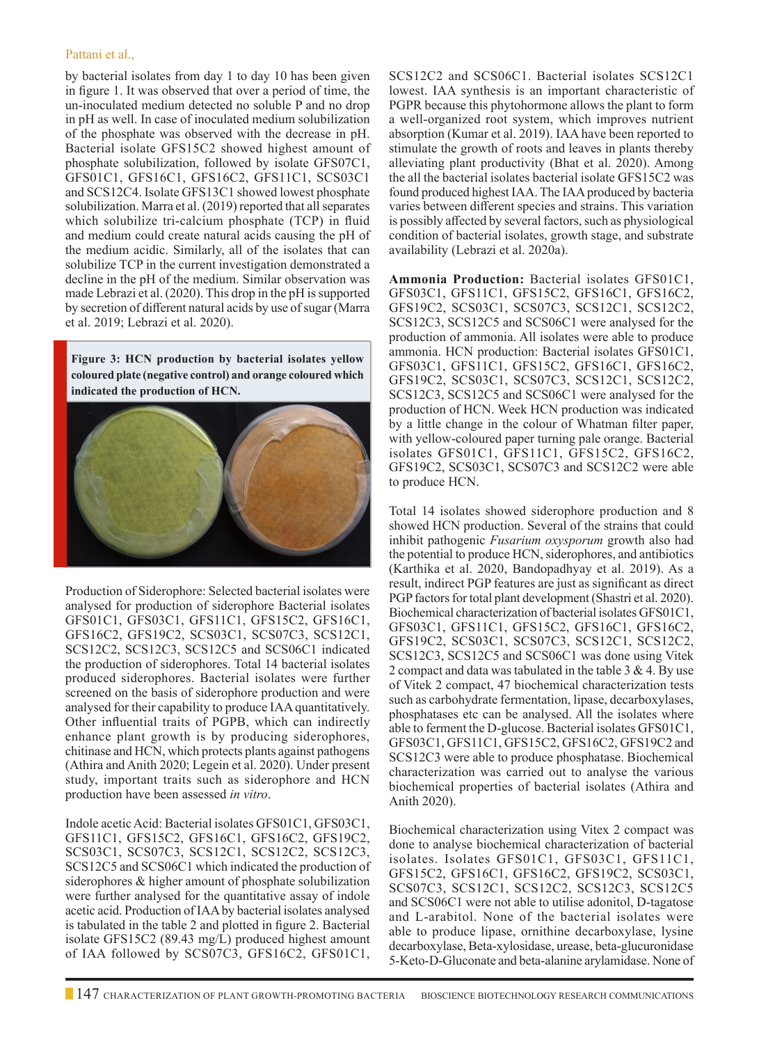#### Pattani et al.,

by bacterial isolates from day 1 to day 10 has been given in figure 1. It was observed that over a period of time, the un-inoculated medium detected no soluble P and no drop in pH as well. In case of inoculated medium solubilization of the phosphate was observed with the decrease in pH. Bacterial isolate GFS15C2 showed highest amount of phosphate solubilization, followed by isolate GFS07C1, GFS01C1, GFS16C1, GFS16C2, GFS11C1, SCS03C1 and SCS12C4. Isolate GFS13C1 showed lowest phosphate solubilization. Marra et al. (2019) reported that all separates which solubilize tri-calcium phosphate (TCP) in fluid and medium could create natural acids causing the pH of the medium acidic. Similarly, all of the isolates that can solubilize TCP in the current investigation demonstrated a decline in the pH of the medium. Similar observation was made Lebrazi et al. (2020). This drop in the pH is supported by secretion of different natural acids by use of sugar (Marra et al. 2019; Lebrazi et al. 2020).

**Figure 3: HCN production by bacterial isolates yellow coloured plate (negative control) and orange coloured which indicated the production of HCN.**



Production of Siderophore: Selected bacterial isolates were analysed for production of siderophore Bacterial isolates GFS01C1, GFS03C1, GFS11C1, GFS15C2, GFS16C1, GFS16C2, GFS19C2, SCS03C1, SCS07C3, SCS12C1, SCS12C2, SCS12C3, SCS12C5 and SCS06C1 indicated the production of siderophores. Total 14 bacterial isolates produced siderophores. Bacterial isolates were further screened on the basis of siderophore production and were analysed for their capability to produce IAA quantitatively. Other influential traits of PGPB, which can indirectly enhance plant growth is by producing siderophores, chitinase and HCN, which protects plants against pathogens (Athira and Anith 2020; Legein et al. 2020). Under present study, important traits such as siderophore and HCN production have been assessed *in vitro*.

Indole acetic Acid: Bacterial isolates GFS01C1, GFS03C1, GFS11C1, GFS15C2, GFS16C1, GFS16C2, GFS19C2, SCS03C1, SCS07C3, SCS12C1, SCS12C2, SCS12C3, SCS12C5 and SCS06C1 which indicated the production of siderophores & higher amount of phosphate solubilization were further analysed for the quantitative assay of indole acetic acid. Production of IAA by bacterial isolates analysed is tabulated in the table 2 and plotted in figure 2. Bacterial isolate GFS15C2 (89.43 mg/L) produced highest amount of IAA followed by SCS07C3, GFS16C2, GFS01C1,

SCS12C2 and SCS06C1. Bacterial isolates SCS12C1 lowest. IAA synthesis is an important characteristic of PGPR because this phytohormone allows the plant to form a well-organized root system, which improves nutrient absorption (Kumar et al. 2019). IAA have been reported to stimulate the growth of roots and leaves in plants thereby alleviating plant productivity (Bhat et al. 2020). Among the all the bacterial isolates bacterial isolate GFS15C2 was found produced highest IAA. The IAA produced by bacteria varies between different species and strains. This variation is possibly affected by several factors, such as physiological condition of bacterial isolates, growth stage, and substrate availability (Lebrazi et al. 2020a).

**Ammonia Production:** Bacterial isolates GFS01C1, GFS03C1, GFS11C1, GFS15C2, GFS16C1, GFS16C2, GFS19C2, SCS03C1, SCS07C3, SCS12C1, SCS12C2, SCS12C3, SCS12C5 and SCS06C1 were analysed for the production of ammonia. All isolates were able to produce ammonia. HCN production: Bacterial isolates GFS01C1, GFS03C1, GFS11C1, GFS15C2, GFS16C1, GFS16C2, GFS19C2, SCS03C1, SCS07C3, SCS12C1, SCS12C2, SCS12C3, SCS12C5 and SCS06C1 were analysed for the production of HCN. Week HCN production was indicated by a little change in the colour of Whatman filter paper, with yellow-coloured paper turning pale orange. Bacterial isolates GFS01C1, GFS11C1, GFS15C2, GFS16C2, GFS19C2, SCS03C1, SCS07C3 and SCS12C2 were able to produce HCN.

Total 14 isolates showed siderophore production and 8 showed HCN production. Several of the strains that could inhibit pathogenic *Fusarium oxysporum* growth also had the potential to produce HCN, siderophores, and antibiotics (Karthika et al. 2020, Bandopadhyay et al. 2019). As a result, indirect PGP features are just as significant as direct PGP factors for total plant development (Shastri et al. 2020). Biochemical characterization of bacterial isolates GFS01C1, GFS03C1, GFS11C1, GFS15C2, GFS16C1, GFS16C2, GFS19C2, SCS03C1, SCS07C3, SCS12C1, SCS12C2, SCS12C3, SCS12C5 and SCS06C1 was done using Vitek 2 compact and data was tabulated in the table 3 & 4. By use of Vitek 2 compact, 47 biochemical characterization tests such as carbohydrate fermentation, lipase, decarboxylases, phosphatases etc can be analysed. All the isolates where able to ferment the D-glucose. Bacterial isolates GFS01C1, GFS03C1, GFS11C1, GFS15C2, GFS16C2, GFS19C2 and SCS12C3 were able to produce phosphatase. Biochemical characterization was carried out to analyse the various biochemical properties of bacterial isolates (Athira and Anith 2020).

Biochemical characterization using Vitex 2 compact was done to analyse biochemical characterization of bacterial isolates. Isolates GFS01C1, GFS03C1, GFS11C1, GFS15C2, GFS16C1, GFS16C2, GFS19C2, SCS03C1, SCS07C3, SCS12C1, SCS12C2, SCS12C3, SCS12C5 and SCS06C1 were not able to utilise adonitol, D-tagatose and L-arabitol. None of the bacterial isolates were able to produce lipase, ornithine decarboxylase, lysine decarboxylase, Beta-xylosidase, urease, beta-glucuronidase 5-Keto-D-Gluconate and beta-alanine arylamidase. None of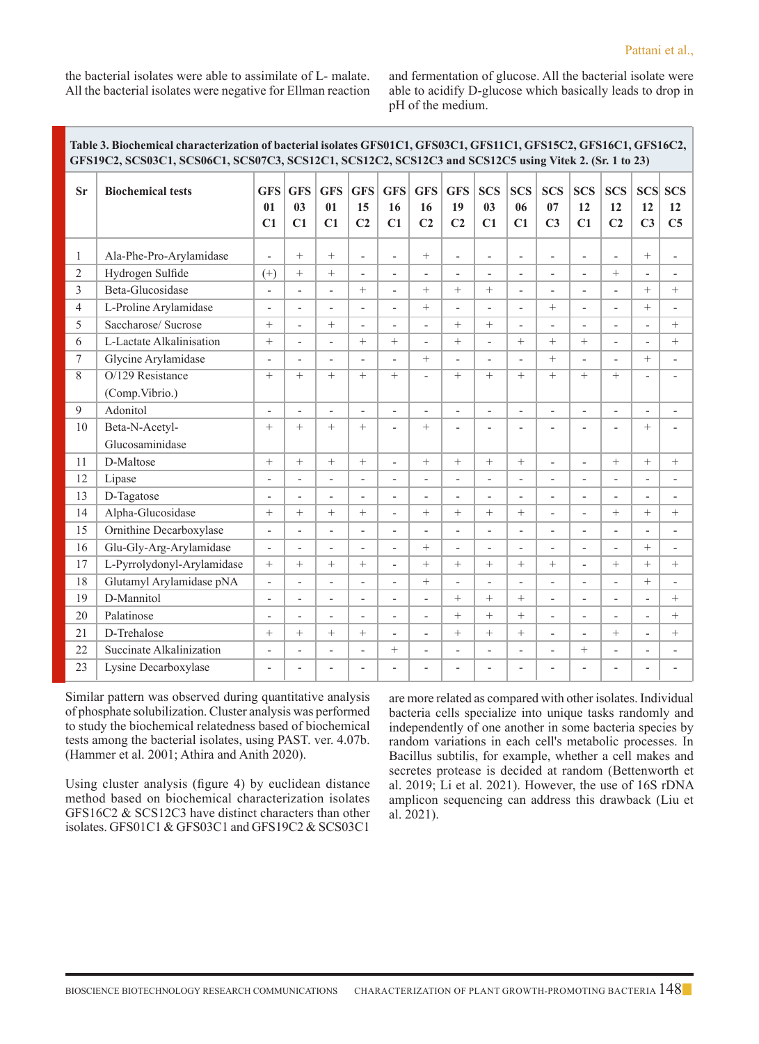the bacterial isolates were able to assimilate of L- malate. All the bacterial isolates were negative for Ellman reaction and fermentation of glucose. All the bacterial isolate were able to acidify D-glucose which basically leads to drop in pH of the medium.

**Table 3. Biochemical characterization of bacterial isolates GFS01C1, GFS03C1, GFS11C1, GFS15C2, GFS16C1, GFS16C2,** 

| Tadie 5. Diochehical characterization of dacterial isolates GP S01U1, GP S03U1, GP S11U1, GP S15U2, GP S10U1, GP S10U2,<br>GFS19C2, SCS03C1, SCS06C1, SCS07C3, SCS12C1, SCS12C2, SCS12C3 and SCS12C5 using Vitek 2. (Sr. 1 to 23) |                            |                          |                          |                          |                                    |                          |                                    |                                    |                                    |                              |                                    |                          |                                    |                                    |                                    |
|-----------------------------------------------------------------------------------------------------------------------------------------------------------------------------------------------------------------------------------|----------------------------|--------------------------|--------------------------|--------------------------|------------------------------------|--------------------------|------------------------------------|------------------------------------|------------------------------------|------------------------------|------------------------------------|--------------------------|------------------------------------|------------------------------------|------------------------------------|
| <b>Sr</b>                                                                                                                                                                                                                         | <b>Biochemical tests</b>   | <b>GFS</b><br>01<br>C1   | <b>GFS</b><br>03<br>C1   | <b>GFS</b><br>01<br>C1   | <b>GFS</b><br>15<br>C <sub>2</sub> | <b>GFS</b><br>16<br>C1   | <b>GFS</b><br>16<br>C <sub>2</sub> | <b>GFS</b><br>19<br>C <sub>2</sub> | <b>SCS</b><br>0 <sub>3</sub><br>C1 | <b>SCS</b><br>06<br>C1       | <b>SCS</b><br>07<br>C <sub>3</sub> | <b>SCS</b><br>12<br>C1   | <b>SCS</b><br>12<br>C <sub>2</sub> | <b>SCS</b><br>12<br>C <sub>3</sub> | <b>SCS</b><br>12<br>C <sub>5</sub> |
| 1                                                                                                                                                                                                                                 | Ala-Phe-Pro-Arylamidase    | $\frac{1}{2}$            | $+$                      | $+$                      | $\overline{a}$                     | $\overline{\phantom{a}}$ |                                    | $\overline{\phantom{a}}$           | $\overline{a}$                     | $\qquad \qquad \blacksquare$ | $\overline{\phantom{a}}$           | $\overline{\phantom{a}}$ | $\overline{\phantom{a}}$           | $^{+}$                             | $\overline{\phantom{a}}$           |
| $\overline{2}$                                                                                                                                                                                                                    | Hydrogen Sulfide           | $^{(+)}$                 | $+$                      | $+$                      | $\overline{a}$                     | $\overline{a}$           | $\overline{\phantom{a}}$           | $\overline{\phantom{0}}$           | ÷,                                 | $\overline{\phantom{a}}$     | $\overline{\phantom{a}}$           | $\overline{\phantom{0}}$ | $+$                                | $\overline{\phantom{a}}$           | $\overline{\phantom{a}}$           |
| 3                                                                                                                                                                                                                                 | Beta-Glucosidase           | $\overline{\phantom{0}}$ | $\overline{\phantom{0}}$ | $\overline{\phantom{a}}$ |                                    |                          | $^{+}$                             | $+$                                | $^{+}$                             | $\overline{\phantom{m}}$     | $\overline{\phantom{m}}$           | $\overline{\phantom{0}}$ | $\overline{\phantom{0}}$           | $^{+}$                             | $^{+}$                             |
| $\overline{4}$                                                                                                                                                                                                                    | L-Proline Arylamidase      | $\overline{\phantom{a}}$ | $\overline{\phantom{a}}$ | $\overline{\phantom{0}}$ | $\overline{a}$                     | $\overline{a}$           | $^{+}$                             | $\overline{a}$                     | ÷,                                 | $\overline{a}$               | $^{+}$                             | $\overline{a}$           | $\overline{\phantom{a}}$           | $+$                                | $\overline{a}$                     |
| 5                                                                                                                                                                                                                                 | Saccharose/ Sucrose        | $^{+}$                   | $\frac{1}{2}$            | $+$                      | $\overline{a}$                     | $\overline{a}$           | $\overline{a}$                     | $+$                                | $+$                                | $\overline{a}$               | $\overline{\phantom{a}}$           | $\overline{a}$           | $\overline{a}$                     | $\overline{\phantom{a}}$           | $^{+}$                             |
| 6                                                                                                                                                                                                                                 | L-Lactate Alkalinisation   | $\! + \!\!\!\!$          | $\overline{a}$           | $\overline{a}$           | $^{+}$                             | $^{+}$                   | $\overline{a}$                     | $+$                                | $\overline{a}$                     | $+$                          | $^{+}$                             | $^{+}$                   | $\overline{\phantom{a}}$           | $\overline{\phantom{a}}$           | $+$                                |
| 7                                                                                                                                                                                                                                 | Glycine Arylamidase        | $\overline{a}$           | $\overline{a}$           |                          |                                    |                          | $^{+}$                             |                                    | Ĭ.                                 |                              | $^{+}$                             | $\overline{\phantom{0}}$ | L,                                 | $^{+}$                             | L,                                 |
| 8                                                                                                                                                                                                                                 | O/129 Resistance           | $\! + \!\!\!\!$          | $^{+}$                   | $^{+}$                   | $^{+}$                             | $^{+}$                   | $\overline{a}$                     | $^{+}$                             | $^{+}$                             | $^{+}$                       | $^{+}$                             | $^{+}$                   | $^{+}$                             | $\overline{a}$                     | ٠                                  |
|                                                                                                                                                                                                                                   | (Comp.Vibrio.)             |                          |                          |                          |                                    |                          |                                    |                                    |                                    |                              |                                    |                          |                                    |                                    |                                    |
| 9                                                                                                                                                                                                                                 | Adonitol                   | $\overline{\phantom{0}}$ | $\overline{\phantom{a}}$ | $\overline{\phantom{a}}$ | $\overline{\phantom{a}}$           | $\overline{\phantom{a}}$ | $\overline{\phantom{a}}$           | $\overline{\phantom{a}}$           | ÷,                                 | $\overline{\phantom{a}}$     | $\overline{\phantom{a}}$           | $\overline{\phantom{a}}$ | $\overline{\phantom{a}}$           | $\overline{\phantom{a}}$           | $\overline{a}$                     |
| 10                                                                                                                                                                                                                                | Beta-N-Acetyl-             |                          | $+$                      | $^{+}$                   | $^{+}$                             | $\overline{a}$           | $^{+}$                             | $\overline{a}$                     | $\overline{a}$                     | $\overline{a}$               | $\overline{\phantom{a}}$           | $\overline{a}$           | $\overline{\phantom{a}}$           |                                    |                                    |
|                                                                                                                                                                                                                                   | Glucosaminidase            |                          |                          |                          |                                    |                          |                                    |                                    |                                    |                              |                                    |                          |                                    |                                    |                                    |
| 11                                                                                                                                                                                                                                | D-Maltose                  | $+$                      | $+$                      | $^{+}$                   | $^{+}$                             | $\overline{a}$           | $+$                                | $+$                                | $+$                                | $+$                          | $\overline{\phantom{0}}$           | $\overline{a}$           | $^{+}$                             | $^{+}$                             | $^{+}$                             |
| 12                                                                                                                                                                                                                                | Lipase                     | $\overline{\phantom{0}}$ | $\frac{1}{2}$            | $\overline{\phantom{a}}$ | $\frac{1}{2}$                      | $\overline{a}$           | $\overline{\phantom{a}}$           | $\overline{a}$                     | L,                                 | $\overline{\phantom{a}}$     | $\overline{\phantom{a}}$           | $\overline{\phantom{0}}$ | $\overline{a}$                     | $\overline{\phantom{a}}$           |                                    |
| 13                                                                                                                                                                                                                                | D-Tagatose                 | $\overline{a}$           | $\overline{a}$           | $\overline{a}$           | $\overline{a}$                     | $\overline{a}$           | L,                                 | L,                                 | $\overline{a}$                     | $\overline{a}$               | $\overline{\phantom{a}}$           | $\overline{a}$           | $\overline{\phantom{a}}$           |                                    |                                    |
| 14                                                                                                                                                                                                                                | Alpha-Glucosidase          | $^{+}$                   | $^{+}$                   | $+$                      | $^{+}$                             |                          | $^{+}$                             | $+$                                |                                    |                              | $\overline{\phantom{a}}$           | $\overline{a}$           | $^{+}$                             | $^{+}$                             | $^{+}$                             |
| 15                                                                                                                                                                                                                                | Ornithine Decarboxylase    | $\overline{\phantom{m}}$ | $\overline{\phantom{0}}$ | $\overline{\phantom{0}}$ | $\overline{a}$                     | $\overline{a}$           | $\overline{a}$                     | $\overline{\phantom{a}}$           | $\overline{a}$                     | $\overline{a}$               | $\overline{a}$                     | $\overline{a}$           | $\overline{a}$                     |                                    | $\overline{\phantom{m}}$           |
| 16                                                                                                                                                                                                                                | Glu-Gly-Arg-Arylamidase    | $\overline{\phantom{a}}$ | $\overline{a}$           | $\overline{\phantom{0}}$ | Ĭ.                                 |                          | $^{+}$                             | $\overline{\phantom{a}}$           | L,                                 | $\overline{\phantom{a}}$     | $\overline{a}$                     | $\overline{\phantom{0}}$ | $\overline{a}$                     | $+$                                |                                    |
| 17                                                                                                                                                                                                                                | L-Pyrrolydonyl-Arylamidase | $\! + \!\!\!\!$          |                          | $^{+}$                   | $^{+}$                             | $\overline{a}$           | $^{+}$                             | $+$                                |                                    |                              | $\! + \!\!\!\!$                    | $\overline{\phantom{a}}$ | $+$                                | $+$                                | $+$                                |
| 18                                                                                                                                                                                                                                | Glutamyl Arylamidase pNA   | $\overline{\phantom{m}}$ | $\overline{\phantom{a}}$ | $\overline{\phantom{a}}$ | $\overline{\phantom{a}}$           | $\overline{a}$           | $^{+}$                             | $\overline{a}$                     | $\overline{a}$                     | $\overline{a}$               | $\overline{\phantom{a}}$           | $\overline{\phantom{a}}$ | $\overline{\phantom{a}}$           | $^{+}$                             | $\overline{a}$                     |
| 19                                                                                                                                                                                                                                | D-Mannitol                 | $\overline{\phantom{a}}$ | $\overline{\phantom{a}}$ | $\overline{\phantom{a}}$ | $\overline{\phantom{a}}$           | $\overline{\phantom{0}}$ | $\overline{\phantom{a}}$           | $+$                                | $+$                                | $^{+}$                       | $\overline{\phantom{a}}$           | $\overline{\phantom{0}}$ | $\overline{\phantom{a}}$           | $\overline{\phantom{a}}$           | $^{+}$                             |
| 20                                                                                                                                                                                                                                | Palatinose                 | $\overline{\phantom{0}}$ | $\overline{\phantom{m}}$ | $\overline{\phantom{a}}$ | $\overline{\phantom{m}}$           | $\overline{\phantom{a}}$ | $\overline{\phantom{a}}$           | $^{+}$                             | $^{+}$                             | $^{+}$                       | $\overline{\phantom{a}}$           | $\overline{\phantom{a}}$ | $\overline{\phantom{a}}$           | $\overline{\phantom{a}}$           | $^{+}$                             |
| 21                                                                                                                                                                                                                                | D-Trehalose                | $\! + \!\!\!\!$          | $^{+}$                   | $+$                      | $+$                                |                          |                                    | $+$                                | $+$                                | $^{+}$                       | $\overline{a}$                     | $\overline{\phantom{0}}$ | $^{+}$                             | $\overline{\phantom{a}}$           | $^{+}$                             |
| 22                                                                                                                                                                                                                                | Succinate Alkalinization   | $\overline{\phantom{0}}$ | $\overline{\phantom{a}}$ | $\overline{\phantom{a}}$ | $\overline{a}$                     | $^{+}$                   | $\overline{\phantom{a}}$           | $\overline{\phantom{a}}$           | ÷,                                 | $\overline{a}$               | $\overline{\phantom{a}}$           | $+$                      | $\overline{\phantom{m}}$           | $\overline{\phantom{m}}$           | $\overline{\phantom{a}}$           |
| 23                                                                                                                                                                                                                                | Lysine Decarboxylase       | $\overline{a}$           | $\overline{a}$           | $\overline{\phantom{0}}$ | $\overline{\phantom{a}}$           |                          | L,                                 |                                    | L,                                 | L,                           | $\overline{a}$                     | $\overline{\phantom{0}}$ | $\overline{\phantom{a}}$           | $\overline{a}$                     |                                    |

Similar pattern was observed during quantitative analysis of phosphate solubilization. Cluster analysis was performed to study the biochemical relatedness based of biochemical tests among the bacterial isolates, using PAST. ver. 4.07b. (Hammer et al. 2001; Athira and Anith 2020).

Using cluster analysis (figure 4) by euclidean distance method based on biochemical characterization isolates GFS16C2 & SCS12C3 have distinct characters than other isolates. GFS01C1 & GFS03C1 and GFS19C2 & SCS03C1

are more related as compared with other isolates. Individual bacteria cells specialize into unique tasks randomly and independently of one another in some bacteria species by random variations in each cell's metabolic processes. In Bacillus subtilis, for example, whether a cell makes and secretes protease is decided at random (Bettenworth et al. 2019; Li et al. 2021). However, the use of 16S rDNA amplicon sequencing can address this drawback (Liu et al. 2021).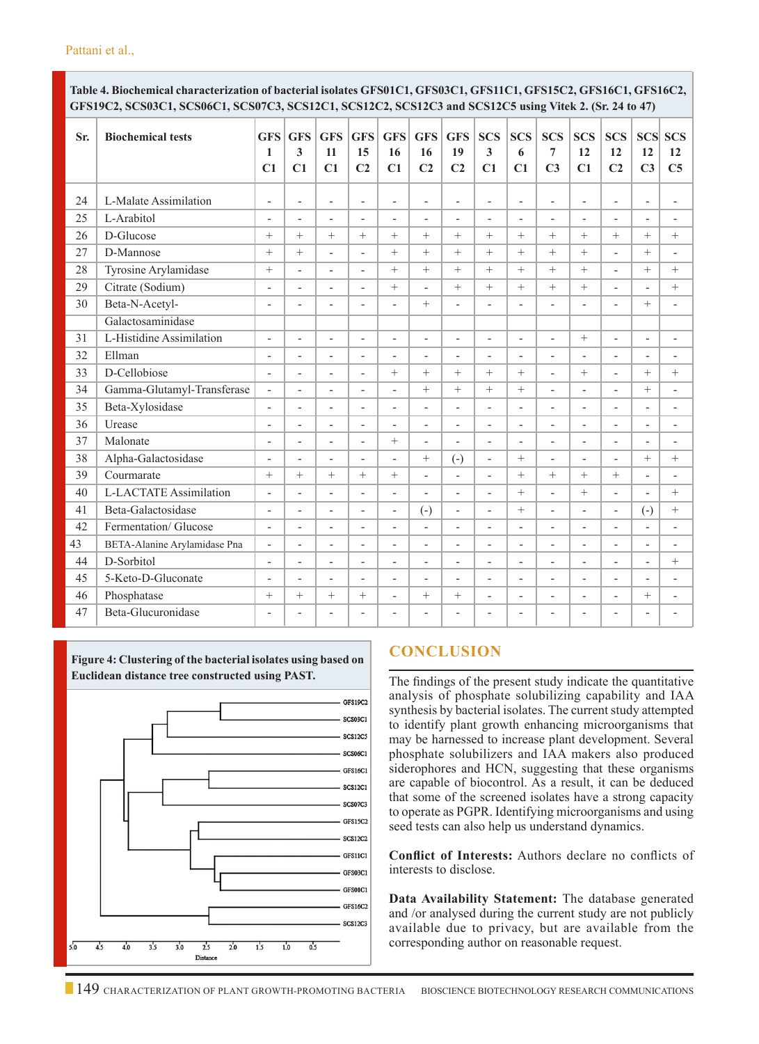**Table 4. Biochemical characterization of bacterial isolates GFS01C1, GFS03C1, GFS11C1, GFS15C2, GFS16C1, GFS16C2, GFS19C2, SCS03C1, SCS06C1, SCS07C3, SCS12C1, SCS12C2, SCS12C3 and SCS12C5 using Vitek 2. (Sr. 24 to 47)**

| Sr. | <b>Biochemical tests</b>      | <b>GFS</b><br>1<br>C1        | <b>GFS</b><br>3<br>C1    | <b>GFS</b><br>11<br>C1   | <b>GFS</b><br>15<br>C <sub>2</sub> | <b>GFS</b><br>16<br>C1   | <b>GFS</b><br>16<br>C <sub>2</sub> | <b>GFS</b><br>19<br>C <sub>2</sub> | <b>SCS</b><br>$\overline{\mathbf{3}}$<br>C1 | <b>SCS</b><br>6<br>C1    | <b>SCS</b><br>$\overline{7}$<br>C <sub>3</sub> | <b>SCS</b><br>12<br>C1   | <b>SCS</b><br>12<br>C <sub>2</sub> | <b>SCS</b><br>12<br>C <sub>3</sub> | <b>SCS</b><br>12<br>C <sub>5</sub> |
|-----|-------------------------------|------------------------------|--------------------------|--------------------------|------------------------------------|--------------------------|------------------------------------|------------------------------------|---------------------------------------------|--------------------------|------------------------------------------------|--------------------------|------------------------------------|------------------------------------|------------------------------------|
| 24  | L-Malate Assimilation         | $\overline{\phantom{a}}$     | $\overline{a}$           | $\overline{a}$           | L,                                 | $\overline{a}$           | L,                                 | L,                                 | L,                                          | L,                       | L,                                             | $\overline{\phantom{a}}$ | L,                                 | $\overline{a}$                     | $\overline{\phantom{a}}$           |
| 25  | L-Arabitol                    | $\overline{\phantom{m}}$     | $\overline{\phantom{a}}$ | $\overline{a}$           | $\overline{a}$                     | $\overline{a}$           | $\overline{a}$                     | $\overline{\phantom{a}}$           | $\overline{a}$                              | $\overline{a}$           | $\overline{a}$                                 | $\overline{\phantom{0}}$ | $\overline{a}$                     | $\overline{\phantom{a}}$           | $\overline{\phantom{a}}$           |
| 26  | D-Glucose                     | $^{+}$                       | $^{+}$                   | $+$                      | $^{+}$                             | $^{+}$                   | $^{+}$                             | $+$                                | $+$                                         | $+$                      | $+$                                            | $+$                      | $+$                                | $+$                                | $+$                                |
| 27  | D-Mannose                     | $^{+}$                       | $^{+}$                   | $\overline{a}$           | $\overline{a}$                     | $^{+}$                   | $^{+}$                             | $+$                                | $+$                                         | $+$                      | $+$                                            | $+$                      | $\overline{a}$                     | $+$                                | ÷,                                 |
| 28  | Tyrosine Arylamidase          | $+$                          | $\overline{a}$           | $\overline{\phantom{a}}$ | $\overline{a}$                     | $^{+}$                   | $^{+}$                             | $+$                                | $^{+}$                                      | $+$                      | $^{+}$                                         | $+$                      | $\overline{a}$                     | $+$                                | $^{+}$                             |
| 29  | Citrate (Sodium)              | $\overline{\phantom{a}}$     | $\overline{a}$           | $\overline{\phantom{a}}$ | $\overline{\phantom{a}}$           | $^{+}$                   | $\overline{a}$                     | $^{+}$                             | $^{+}$                                      | $+$                      | $^{+}$                                         | $^{+}$                   | ۰                                  | $\overline{\phantom{a}}$           | $+$                                |
| 30  | Beta-N-Acetyl-                | $\overline{\phantom{a}}$     | $\overline{a}$           | $\overline{a}$           | $\overline{a}$                     | $\overline{a}$           | $+$                                | $\overline{a}$                     | $\overline{a}$                              | $\overline{a}$           | $\overline{a}$                                 | $\overline{a}$           | $\overline{a}$                     | $+$                                | $\overline{\phantom{a}}$           |
|     | Galactosaminidase             |                              |                          |                          |                                    |                          |                                    |                                    |                                             |                          |                                                |                          |                                    |                                    |                                    |
| 31  | L-Histidine Assimilation      | $\overline{\phantom{a}}$     | $\overline{\phantom{0}}$ | $\overline{\phantom{0}}$ | L,                                 | $\overline{\phantom{0}}$ | $\overline{a}$                     | $\overline{a}$                     | L,                                          | $\overline{a}$           | $\overline{a}$                                 | $+$                      | $\overline{a}$                     | $\overline{a}$                     | $\overline{\phantom{m}}$           |
| 32  | Ellman                        | L,                           | $\overline{a}$           | $\overline{a}$           | $\overline{a}$                     | $\overline{\phantom{a}}$ | $\overline{a}$                     | $\overline{a}$                     | $\overline{a}$                              | $\overline{\phantom{0}}$ | $\overline{\phantom{0}}$                       | $\overline{\phantom{a}}$ | $\overline{a}$                     | $\overline{\phantom{a}}$           | ÷,                                 |
| 33  | D-Cellobiose                  | $\overline{a}$               | $\overline{\phantom{a}}$ | $\overline{\phantom{0}}$ | $\overline{a}$                     | $^{+}$                   | $^{+}$                             | $+$                                | $^{+}$                                      | $+$                      | $\overline{a}$                                 | $+$                      | $\overline{a}$                     | $+$                                | $+$                                |
| 34  | Gamma-Glutamyl-Transferase    | $\overline{\phantom{a}}$     | $\overline{\phantom{0}}$ | $\overline{\phantom{0}}$ | L,                                 | $\overline{a}$           | $+$                                | $+$                                |                                             |                          | $\overline{a}$                                 | $\overline{\phantom{0}}$ | L,                                 | $+$                                |                                    |
| 35  | Beta-Xylosidase               | $\overline{\phantom{a}}$     | $\overline{\phantom{a}}$ | $\overline{\phantom{a}}$ | $\overline{a}$                     | $\overline{\phantom{0}}$ | $\overline{a}$                     | $\overline{\phantom{0}}$           | L,                                          | $\overline{\phantom{0}}$ | $\overline{a}$                                 | $\overline{\phantom{0}}$ | $\overline{\phantom{0}}$           | $\overline{\phantom{a}}$           | $\overline{\phantom{a}}$           |
| 36  | Urease                        | $\qquad \qquad \blacksquare$ | $\overline{\phantom{0}}$ | $\overline{\phantom{0}}$ | $\overline{a}$                     | $\overline{a}$           | $\overline{\phantom{0}}$           | $\overline{\phantom{0}}$           | $\overline{a}$                              | $\overline{\phantom{0}}$ | $\overline{a}$                                 | $\overline{\phantom{0}}$ | $\overline{a}$                     | $\overline{\phantom{a}}$           | $\overline{\phantom{m}}$           |
| 37  | Malonate                      | L,                           | $\overline{\phantom{0}}$ | $\overline{\phantom{0}}$ | $\overline{a}$                     | $^{+}$                   | $\overline{\phantom{0}}$           | $\overline{\phantom{0}}$           | L,                                          | $\overline{\phantom{0}}$ | $\overline{\phantom{0}}$                       | $\overline{\phantom{0}}$ | L,                                 | $\overline{\phantom{a}}$           | $\overline{\phantom{m}}$           |
| 38  | Alpha-Galactosidase           | $\overline{\phantom{a}}$     | $\overline{\phantom{a}}$ | $\overline{\phantom{0}}$ | L,                                 | $\overline{\phantom{a}}$ | $^{+}$                             | $\left( -\right)$                  | $\overline{\phantom{0}}$                    |                          | $\overline{\phantom{0}}$                       | $\overline{\phantom{0}}$ | $\overline{\phantom{0}}$           | $+$                                | $+$                                |
| 39  | Courmarate                    | $^{+}$                       | $^{+}$                   | $^{+}$                   | $^{+}$                             | $^{+}$                   | $\overline{a}$                     |                                    | $\overline{a}$                              | $^{+}$                   | $^{+}$                                         | $+$                      | $+$                                |                                    | ÷,                                 |
| 40  | <b>L-LACTATE Assimilation</b> | $\overline{a}$               | $\overline{\phantom{0}}$ | $\overline{\phantom{0}}$ | L,                                 | $\overline{\phantom{0}}$ | $\overline{a}$                     | $\overline{\phantom{0}}$           | L,                                          | $+$                      | $\overline{\phantom{0}}$                       | $+$                      | $\overline{\phantom{0}}$           | $\overline{\phantom{a}}$           | $+$                                |
| 41  | Beta-Galactosidase            | $\overline{a}$               | $\overline{a}$           | $\overline{a}$           | $\overline{a}$                     | $\overline{\phantom{0}}$ | $\left( -\right)$                  | $\overline{\phantom{0}}$           | $\overline{a}$                              |                          | $\overline{\phantom{a}}$                       | $\overline{a}$           | $\overline{\phantom{0}}$           | $\left( -\right)$                  | $^{+}$                             |
| 42  | Fermentation/ Glucose         | $\overline{\phantom{a}}$     | $\overline{\phantom{0}}$ | $\overline{\phantom{0}}$ | L,                                 | $\bar{\phantom{a}}$      | $\overline{a}$                     | $\bar{\phantom{a}}$                | L,                                          | $\bar{\phantom{a}}$      | $\overline{\phantom{0}}$                       | $\bar{\phantom{a}}$      | $\overline{\phantom{0}}$           | $\overline{a}$                     | $\overline{\phantom{m}}$           |
| 43  | BETA-Alanine Arylamidase Pna  | $\overline{\phantom{a}}$     | $\overline{\phantom{0}}$ | $\overline{a}$           | L,                                 | $\overline{\phantom{0}}$ | $\overline{\phantom{0}}$           | $\overline{\phantom{0}}$           | L,                                          | $\overline{\phantom{0}}$ | $\overline{\phantom{a}}$                       | $\overline{\phantom{a}}$ | L,                                 | $\overline{\phantom{a}}$           | $\overline{\phantom{a}}$           |
| 44  | D-Sorbitol                    | $\overline{\phantom{m}}$     | $\overline{\phantom{a}}$ | $\bar{\phantom{a}}$      | L,                                 | $\bar{\phantom{a}}$      | $\bar{\phantom{a}}$                | $\bar{\phantom{a}}$                | L,                                          | $\bar{\phantom{a}}$      | $\overline{a}$                                 | $\bar{\phantom{a}}$      | L,                                 | $\overline{a}$                     | $^{+}$                             |
| 45  | 5-Keto-D-Gluconate            | $\overline{\phantom{a}}$     | $\overline{\phantom{a}}$ | $\overline{\phantom{0}}$ | L,                                 | $\overline{\phantom{0}}$ | $\overline{\phantom{0}}$           | $\overline{\phantom{0}}$           | L,                                          | $\bar{ }$                | $\overline{\phantom{0}}$                       | $\overline{\phantom{a}}$ | L,                                 | $\overline{\phantom{a}}$           | $\overline{\phantom{a}}$           |
| 46  | Phosphatase                   | $^{+}$                       | $+$                      | $^{+}$                   | $^{+}$                             | $\overline{a}$           | $^{+}$                             | $+$                                | L,                                          | $\bar{ }$                | $\overline{a}$                                 | $\overline{\phantom{0}}$ | $\overline{a}$                     | $+$                                | $\overline{\phantom{a}}$           |
| 47  | Beta-Glucuronidase            | $\overline{\phantom{a}}$     | $\overline{a}$           | $\overline{\phantom{a}}$ | $\overline{\phantom{a}}$           | $\overline{a}$           | $\overline{a}$                     | $\overline{a}$                     | L,                                          | L,                       | L,                                             | $\overline{\phantom{a}}$ | L,                                 | $\overline{\phantom{a}}$           |                                    |

**Figure 4: Clustering of the bacterial isolates using based on Euclidean distance tree constructed using PAST.**



## **Conclusion**

The findings of the present study indicate the quantitative analysis of phosphate solubilizing capability and IAA synthesis by bacterial isolates. The current study attempted to identify plant growth enhancing microorganisms that may be harnessed to increase plant development. Several phosphate solubilizers and IAA makers also produced siderophores and HCN, suggesting that these organisms are capable of biocontrol. As a result, it can be deduced that some of the screened isolates have a strong capacity to operate as PGPR. Identifying microorganisms and using seed tests can also help us understand dynamics.

**Conflict of Interests:** Authors declare no conflicts of interests to disclose.

**Data Availability Statement:** The database generated and /or analysed during the current study are not publicly available due to privacy, but are available from the corresponding author on reasonable request.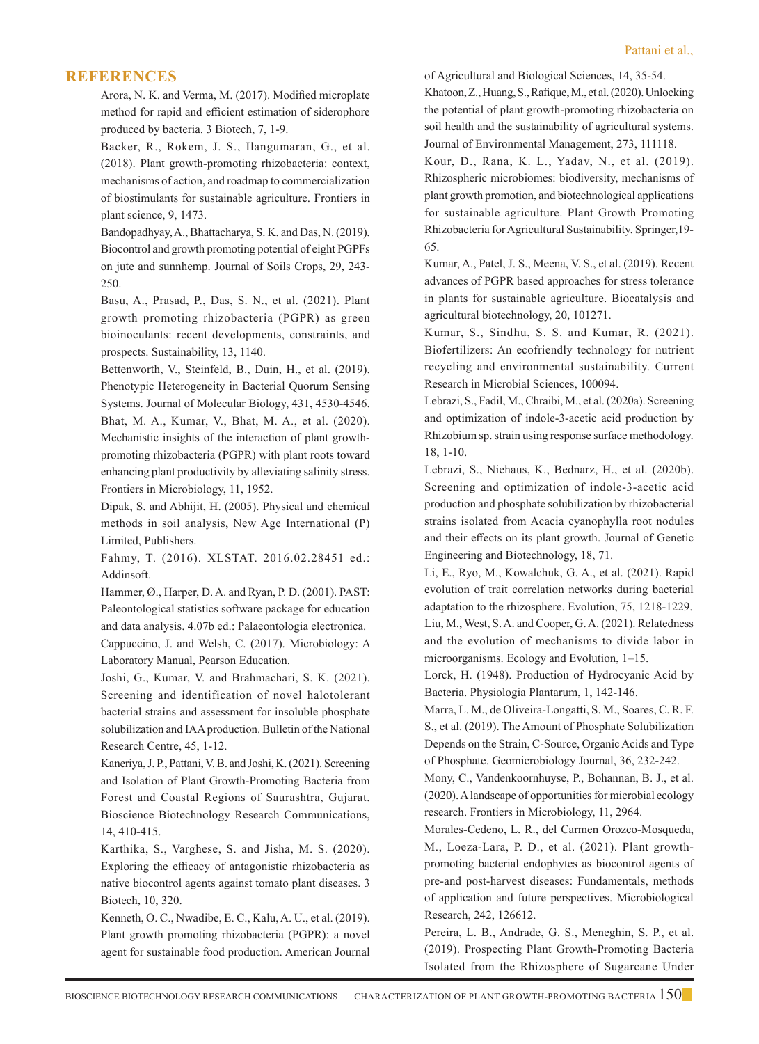#### **REFERENCES**

Arora, N. K. and Verma, M. (2017). Modified microplate method for rapid and efficient estimation of siderophore produced by bacteria. 3 Biotech, 7, 1-9.

Backer, R., Rokem, J. S., Ilangumaran, G., et al. (2018). Plant growth-promoting rhizobacteria: context, mechanisms of action, and roadmap to commercialization of biostimulants for sustainable agriculture. Frontiers in plant science, 9, 1473.

Bandopadhyay, A., Bhattacharya, S. K. and Das, N. (2019). Biocontrol and growth promoting potential of eight PGPFs on jute and sunnhemp. Journal of Soils Crops, 29, 243- 250.

Basu, A., Prasad, P., Das, S. N., et al. (2021). Plant growth promoting rhizobacteria (PGPR) as green bioinoculants: recent developments, constraints, and prospects. Sustainability, 13, 1140.

Bettenworth, V., Steinfeld, B., Duin, H., et al. (2019). Phenotypic Heterogeneity in Bacterial Quorum Sensing Systems. Journal of Molecular Biology, 431, 4530-4546. Bhat, M. A., Kumar, V., Bhat, M. A., et al. (2020). Mechanistic insights of the interaction of plant growthpromoting rhizobacteria (PGPR) with plant roots toward enhancing plant productivity by alleviating salinity stress. Frontiers in Microbiology, 11, 1952.

Dipak, S. and Abhijit, H. (2005). Physical and chemical methods in soil analysis, New Age International (P) Limited, Publishers.

Fahmy, T. (2016). XLSTAT. 2016.02.28451 ed.: Addinsoft.

Hammer, Ø., Harper, D. A. and Ryan, P. D. (2001). PAST: Paleontological statistics software package for education and data analysis. 4.07b ed.: Palaeontologia electronica. Cappuccino, J. and Welsh, C. (2017). Microbiology: A Laboratory Manual, Pearson Education.

Joshi, G., Kumar, V. and Brahmachari, S. K. (2021). Screening and identification of novel halotolerant bacterial strains and assessment for insoluble phosphate solubilization and IAA production. Bulletin of the National Research Centre, 45, 1-12.

 Kaneriya, J. P., Pattani, V. B. and Joshi, K. (2021). Screening and Isolation of Plant Growth-Promoting Bacteria from Forest and Coastal Regions of Saurashtra, Gujarat. Bioscience Biotechnology Research Communications, 14, 410-415.

 Karthika, S., Varghese, S. and Jisha, M. S. (2020). Exploring the efficacy of antagonistic rhizobacteria as native biocontrol agents against tomato plant diseases. 3 Biotech, 10, 320.

 Kenneth, O. C., Nwadibe, E. C., Kalu, A. U., et al. (2019). Plant growth promoting rhizobacteria (PGPR): a novel agent for sustainable food production. American Journal of Agricultural and Biological Sciences, 14, 35-54.

 Khatoon, Z., Huang, S., Rafique, M., et al. (2020). Unlocking the potential of plant growth-promoting rhizobacteria on soil health and the sustainability of agricultural systems. Journal of Environmental Management, 273, 111118.

 Kour, D., Rana, K. L., Yadav, N., et al. (2019). Rhizospheric microbiomes: biodiversity, mechanisms of plant growth promotion, and biotechnological applications for sustainable agriculture. Plant Growth Promoting Rhizobacteria for Agricultural Sustainability. Springer,19- 65.

 Kumar, A., Patel, J. S., Meena, V. S., et al. (2019). Recent advances of PGPR based approaches for stress tolerance in plants for sustainable agriculture. Biocatalysis and agricultural biotechnology, 20, 101271.

 Kumar, S., Sindhu, S. S. and Kumar, R. (2021). Biofertilizers: An ecofriendly technology for nutrient recycling and environmental sustainability. Current Research in Microbial Sciences, 100094.

Lebrazi, S., Fadil, M., Chraibi, M., et al. (2020a). Screening and optimization of indole-3-acetic acid production by Rhizobium sp. strain using response surface methodology. 18, 1-10.

Lebrazi, S., Niehaus, K., Bednarz, H., et al. (2020b). Screening and optimization of indole-3-acetic acid production and phosphate solubilization by rhizobacterial strains isolated from Acacia cyanophylla root nodules and their effects on its plant growth. Journal of Genetic Engineering and Biotechnology, 18, 71.

Li, E., Ryo, M., Kowalchuk, G. A., et al. (2021). Rapid evolution of trait correlation networks during bacterial adaptation to the rhizosphere. Evolution, 75, 1218-1229. Liu, M., West, S. A. and Cooper, G. A. (2021). Relatedness and the evolution of mechanisms to divide labor in microorganisms. Ecology and Evolution, 1–15.

Lorck, H. (1948). Production of Hydrocyanic Acid by Bacteria. Physiologia Plantarum, 1, 142-146.

Marra, L. M., de Oliveira-Longatti, S. M., Soares, C. R. F. S., et al. (2019). The Amount of Phosphate Solubilization Depends on the Strain, C-Source, Organic Acids and Type of Phosphate. Geomicrobiology Journal, 36, 232-242.

Mony, C., Vandenkoornhuyse, P., Bohannan, B. J., et al. (2020). A landscape of opportunities for microbial ecology research. Frontiers in Microbiology, 11, 2964.

Morales-Cedeno, L. R., del Carmen Orozco-Mosqueda, M., Loeza-Lara, P. D., et al. (2021). Plant growthpromoting bacterial endophytes as biocontrol agents of pre-and post-harvest diseases: Fundamentals, methods of application and future perspectives. Microbiological Research, 242, 126612.

Pereira, L. B., Andrade, G. S., Meneghin, S. P., et al. (2019). Prospecting Plant Growth-Promoting Bacteria Isolated from the Rhizosphere of Sugarcane Under